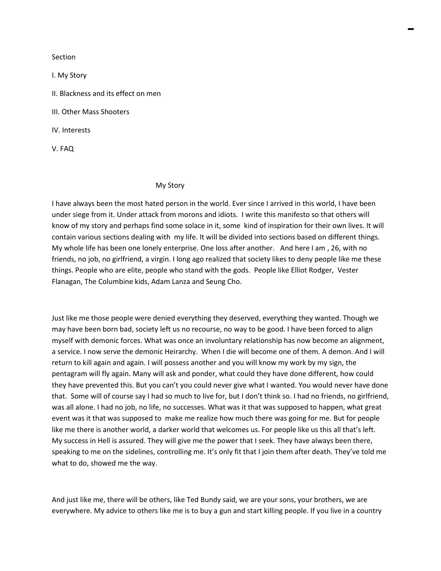Section

I. My Story

II. Blackness and its effect on men

III. Other Mass Shooters

IV. Interests

V. FAQ

#### My Story

I have always been the most hated person in the world. Ever since I arrived in this world, I have been under siege from it. Under attack from morons and idiots. I write this manifesto so that others will know of my story and perhaps find some solace in it, some kind of inspiration for their own lives. It will contain various sections dealing with my life. It will be divided into sections based on different things. My whole life has been one lonely enterprise. One loss after another. And here I am , 26, with no friends, no job, no girlfriend, a virgin. I long ago realized that society likes to deny people like me these things. People who are elite, people who stand with the gods. People like Elliot Rodger, Vester Flanagan, The Columbine kids, Adam Lanza and Seung Cho.

Just like me those people were denied everything they deserved, everything they wanted. Though we may have been born bad, society left us no recourse, no way to be good. I have been forced to align myself with demonic forces. What was once an involuntary relationship has now become an alignment, a service. I now serve the demonic Heirarchy. When I die will become one of them. A demon. And I will return to kill again and again. I will possess another and you will know my work by my sign, the pentagram will fly again. Many will ask and ponder, what could they have done different, how could they have prevented this. But you can't you could never give what I wanted. You would never have done that. Some will of course say I had so much to live for, but I don't think so. I had no friends, no girlfriend, was all alone. I had no job, no life, no successes. What was it that was supposed to happen, what great event was it that was supposed to make me realize how much there was going for me. But for people like me there is another world, a darker world that welcomes us. For people like us this all that's left. My success in Hell is assured. They will give me the power that I seek. They have always been there, speaking to me on the sidelines, controlling me. It's only fit that I join them after death. They've told me what to do, showed me the way.

And just like me, there will be others, like Ted Bundy said, we are your sons, your brothers, we are everywhere. My advice to others like me is to buy a gun and start killing people. If you live in a country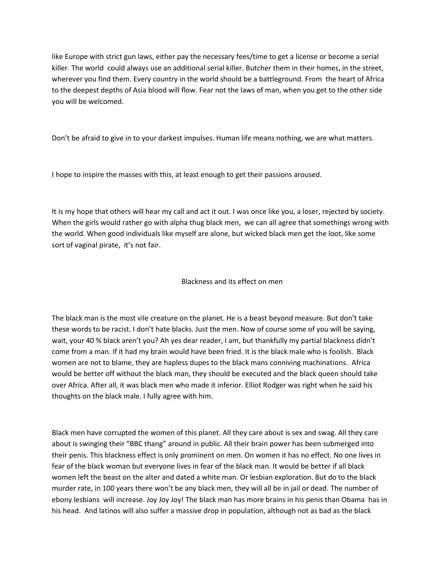like Europe with strict gun laws, either pay the necessary fees/time to get a license or become a serial killer. The world could always use an additional serial killer. Butcher them in their homes, in the street, wherever you find them. Every country in the world should be a battleground. From the heart of Africa to the deepest depths of Asia blood will flow. Fear not the laws of man, when you get to the other side you will be welcomed.

Don't be afraid to give in to your darkest impulses. Human life means nothing, we are what matters.

I hope to inspire the masses with this, at least enough to get their passions aroused.

It is my hope that others will hear my call and act it out. I was once like you, a loser, rejected by society. When the girls would rather go with alpha thug black men, we can all agree that somethings wrong with the world. When good individuals like myself are alone, but wicked black men get the loot, like some sort of vaginal pirate, it's not fair.

Blackness and its effect on men

The black man is the most vile creature on the planet. He is a beast beyond measure. But don't take these words to be racist. I don't hate blacks. Just the men. Now of course some of you will be saying, wait, your 40 % black aren't you? Ah yes dear reader, I am, but thankfully my partial blackness didn't come from a man. If it had my brain would have been fried. It is the black male who is foolish. Black women are not to blame, they are hapless dupes to the black mans conniving machinations. Africa would be better off without the black man, they should be executed and the black queen should take over Africa. After all, it was black men who made it inferior. Elliot Rodger was right when he said his thoughts on the black male. I fully agree with him.

Black men have corrupted the women of this planet. All they care about is sex and swag. All they care about is swinging their "BBC thang" around in public. All their brain power has been submerged into their penis. This blackness effect is only prominent on men. On women it has no effect. No one lives in fear of the black woman but everyone lives in fear of the black man. It would be better if all black women left the beast on the alter and dated a white man. Or lesbian exploration. But do to the black murder rate, in 100 years there won't be any black men, they will all be in jail or dead. The number of ebony lesbians will increase. Joy Joy Joy! The black man has more brains in his penis than Obama has in his head. And latinos will also suffer a massive drop in population, although not as bad as the black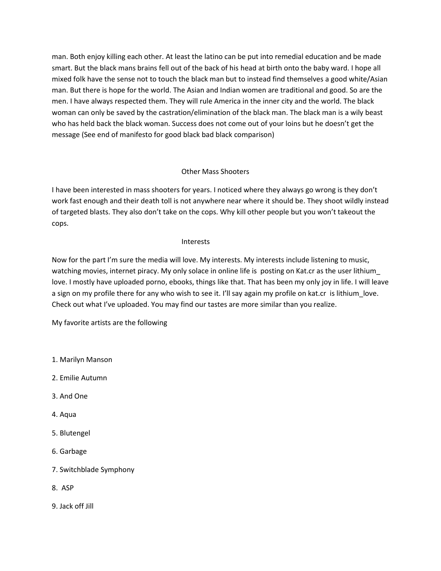man. Both enjoy killing each other. At least the latino can be put into remedial education and be made smart. But the black mans brains fell out of the back of his head at birth onto the baby ward. I hope all mixed folk have the sense not to touch the black man but to instead find themselves a good white/Asian man. But there is hope for the world. The Asian and Indian women are traditional and good. So are the men. I have always respected them. They will rule America in the inner city and the world. The black woman can only be saved by the castration/elimination of the black man. The black man is a wily beast who has held back the black woman. Success does not come out of your loins but he doesn't get the message (See end of manifesto for good black bad black comparison)

# Other Mass Shooters

I have been interested in mass shooters for years. I noticed where they always go wrong is they don't work fast enough and their death toll is not anywhere near where it should be. They shoot wildly instead of targeted blasts. They also don't take on the cops. Why kill other people but you won't takeout the cops.

## Interests

Now for the part I'm sure the media will love. My interests. My interests include listening to music, watching movies, internet piracy. My only solace in online life is posting on Kat.cr as the user lithium love. I mostly have uploaded porno, ebooks, things like that. That has been my only joy in life. I will leave a sign on my profile there for any who wish to see it. I'll say again my profile on kat.cr is lithium\_love. Check out what I've uploaded. You may find our tastes are more similar than you realize.

My favorite artists are the following

- 1. Marilyn Manson
- 2. Emilie Autumn
- 3. And One
- 4. Aqua
- 5. Blutengel
- 6. Garbage
- 7. Switchblade Symphony
- 8. ASP
- 9. Jack off Jill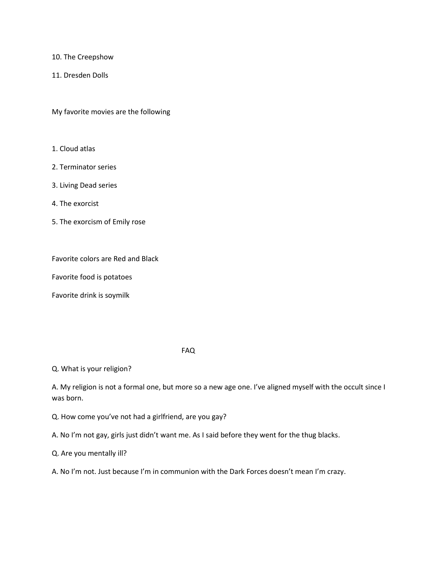#### 10. The Creepshow

### 11. Dresden Dolls

My favorite movies are the following

- 1. Cloud atlas
- 2. Terminator series
- 3. Living Dead series
- 4. The exorcist
- 5. The exorcism of Emily rose

Favorite colors are Red and Black

Favorite food is potatoes

Favorite drink is soymilk

## FAQ

Q. What is your religion?

A. My religion is not a formal one, but more so a new age one. I've aligned myself with the occult since I was born.

Q. How come you've not had a girlfriend, are you gay?

A. No I'm not gay, girls just didn't want me. As I said before they went for the thug blacks.

Q. Are you mentally ill?

A. No I'm not. Just because I'm in communion with the Dark Forces doesn't mean I'm crazy.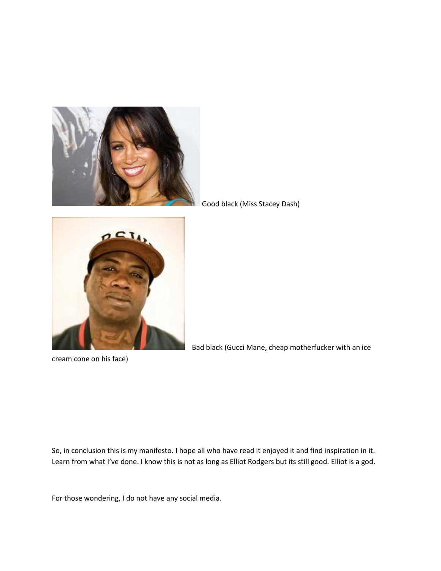

Good black (Miss Stacey Dash)



cream cone on his face)

Bad black (Gucci Mane, cheap motherfucker with an ice

So, in conclusion this is my manifesto. I hope all who have read it enjoyed it and find inspiration in it. Learn from what I've done. I know this is not as long as Elliot Rodgers but its still good. Elliot is a god.

For those wondering, I do not have any social media.